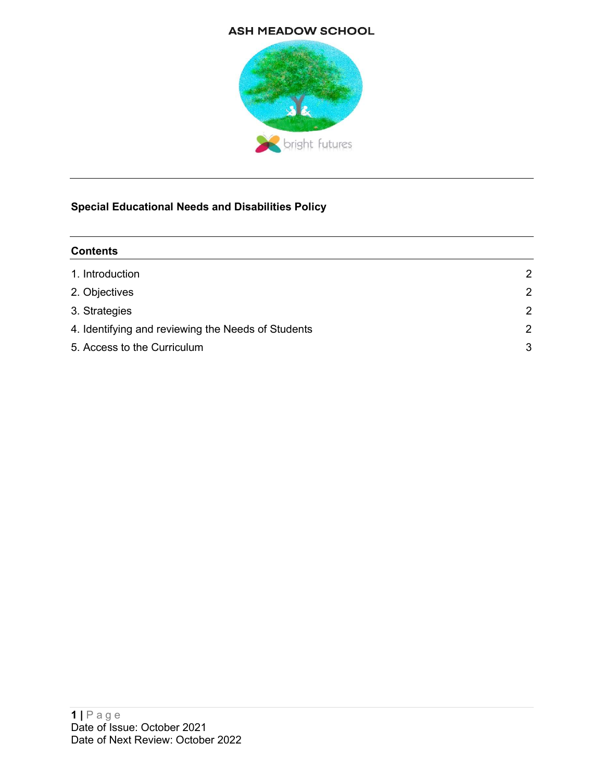#### **ASH MEADOW SCHOOL**



# Special Educational Needs and Disabilities Policy

| <b>Contents</b>                                    |                |
|----------------------------------------------------|----------------|
| 1. Introduction                                    | 2              |
| 2. Objectives                                      | $\overline{2}$ |
| 3. Strategies                                      | 2              |
| 4. Identifying and reviewing the Needs of Students | $\overline{2}$ |
| 5. Access to the Curriculum                        | 3              |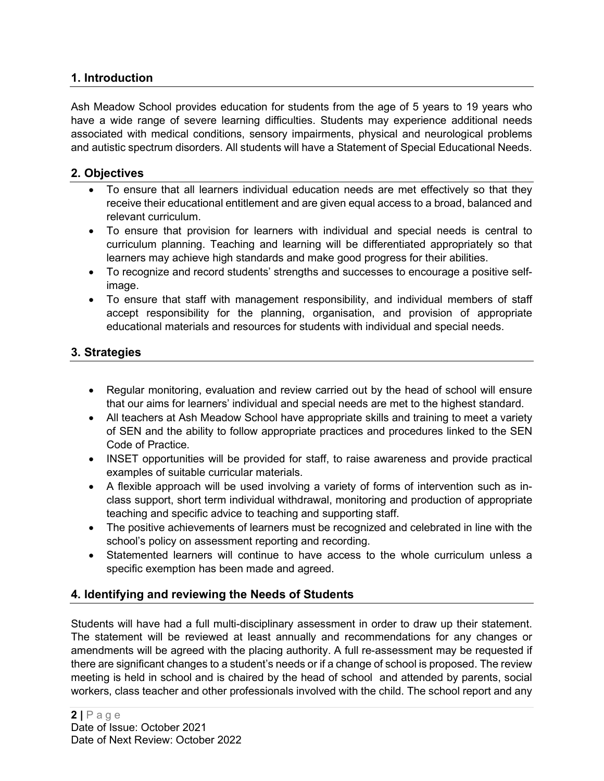#### 1. Introduction

Ash Meadow School provides education for students from the age of 5 years to 19 years who have a wide range of severe learning difficulties. Students may experience additional needs associated with medical conditions, sensory impairments, physical and neurological problems and autistic spectrum disorders. All students will have a Statement of Special Educational Needs.

#### 2. Objectives

- To ensure that all learners individual education needs are met effectively so that they receive their educational entitlement and are given equal access to a broad, balanced and relevant curriculum.
- To ensure that provision for learners with individual and special needs is central to curriculum planning. Teaching and learning will be differentiated appropriately so that learners may achieve high standards and make good progress for their abilities.
- To recognize and record students' strengths and successes to encourage a positive selfimage.
- To ensure that staff with management responsibility, and individual members of staff accept responsibility for the planning, organisation, and provision of appropriate educational materials and resources for students with individual and special needs.

### 3. Strategies

- Regular monitoring, evaluation and review carried out by the head of school will ensure that our aims for learners' individual and special needs are met to the highest standard.
- All teachers at Ash Meadow School have appropriate skills and training to meet a variety of SEN and the ability to follow appropriate practices and procedures linked to the SEN Code of Practice.
- INSET opportunities will be provided for staff, to raise awareness and provide practical examples of suitable curricular materials.
- A flexible approach will be used involving a variety of forms of intervention such as inclass support, short term individual withdrawal, monitoring and production of appropriate teaching and specific advice to teaching and supporting staff.
- The positive achievements of learners must be recognized and celebrated in line with the school's policy on assessment reporting and recording.
- Statemented learners will continue to have access to the whole curriculum unless a specific exemption has been made and agreed.

# 4. Identifying and reviewing the Needs of Students

Students will have had a full multi-disciplinary assessment in order to draw up their statement. The statement will be reviewed at least annually and recommendations for any changes or amendments will be agreed with the placing authority. A full re-assessment may be requested if there are significant changes to a student's needs or if a change of school is proposed. The review meeting is held in school and is chaired by the head of school and attended by parents, social workers, class teacher and other professionals involved with the child. The school report and any